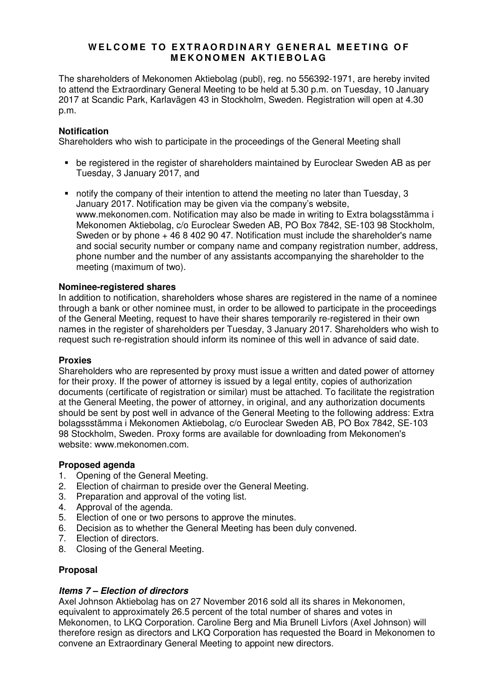# WELCOME TO EXTRAORDINARY GENERAL MEETING OF **M E K O N O M E N A K T I E B O L A G**

The shareholders of Mekonomen Aktiebolag (publ), reg. no 556392-1971, are hereby invited to attend the Extraordinary General Meeting to be held at 5.30 p.m. on Tuesday, 10 January 2017 at Scandic Park, Karlavägen 43 in Stockholm, Sweden. Registration will open at 4.30 p.m.

## **Notification**

Shareholders who wish to participate in the proceedings of the General Meeting shall

- be registered in the register of shareholders maintained by Euroclear Sweden AB as per Tuesday, 3 January 2017, and
- notify the company of their intention to attend the meeting no later than Tuesday, 3 January 2017. Notification may be given via the company's website, www.mekonomen.com. Notification may also be made in writing to Extra bolagsstämma i Mekonomen Aktiebolag, c/o Euroclear Sweden AB, PO Box 7842, SE-103 98 Stockholm, Sweden or by phone + 46 8 402 90 47. Notification must include the shareholder's name and social security number or company name and company registration number, address, phone number and the number of any assistants accompanying the shareholder to the meeting (maximum of two).

# **Nominee-registered shares**

In addition to notification, shareholders whose shares are registered in the name of a nominee through a bank or other nominee must, in order to be allowed to participate in the proceedings of the General Meeting, request to have their shares temporarily re-registered in their own names in the register of shareholders per Tuesday, 3 January 2017. Shareholders who wish to request such re-registration should inform its nominee of this well in advance of said date.

### **Proxies**

Shareholders who are represented by proxy must issue a written and dated power of attorney for their proxy. If the power of attorney is issued by a legal entity, copies of authorization documents (certificate of registration or similar) must be attached. To facilitate the registration at the General Meeting, the power of attorney, in original, and any authorization documents should be sent by post well in advance of the General Meeting to the following address: Extra bolagssstämma i Mekonomen Aktiebolag, c/o Euroclear Sweden AB, PO Box 7842, SE-103 98 Stockholm, Sweden. Proxy forms are available for downloading from Mekonomen's website: www.mekonomen.com.

### **Proposed agenda**

- 1. Opening of the General Meeting.
- 2. Election of chairman to preside over the General Meeting.
- 3. Preparation and approval of the voting list.
- 4. Approval of the agenda.
- 5. Election of one or two persons to approve the minutes.
- 6. Decision as to whether the General Meeting has been duly convened.
- 7. Election of directors.
- 8. Closing of the General Meeting.

### **Proposal**

### **Items 7 – Election of directors**

Axel Johnson Aktiebolag has on 27 November 2016 sold all its shares in Mekonomen, equivalent to approximately 26.5 percent of the total number of shares and votes in Mekonomen, to LKQ Corporation. Caroline Berg and Mia Brunell Livfors (Axel Johnson) will therefore resign as directors and LKQ Corporation has requested the Board in Mekonomen to convene an Extraordinary General Meeting to appoint new directors.